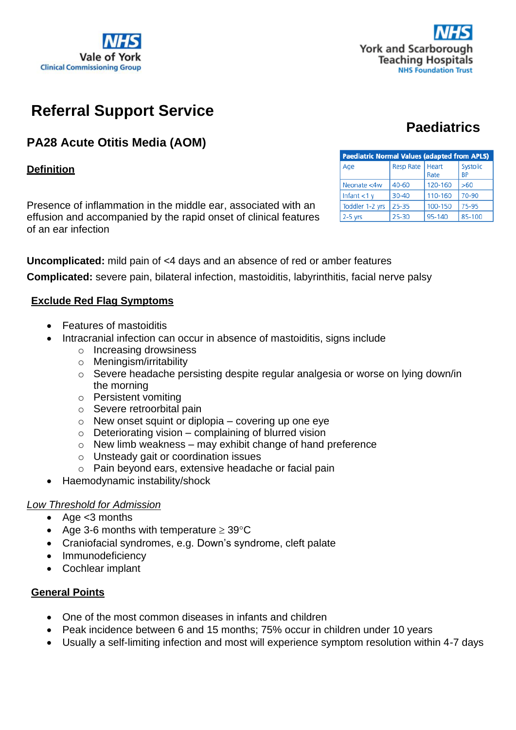



# **Referral Support Service**

# **PA28 Acute Otitis Media (AOM)**

# **Definition**

Presence of inflammation in the middle ear, associated with an effusion and accompanied by the rapid onset of clinical features of an ear infection

| <b>Paediatric Normal Values (adapted from APLS)</b> |                   |         |                       |  |  |  |
|-----------------------------------------------------|-------------------|---------|-----------------------|--|--|--|
| Age                                                 | Resp Rate   Heart | Rate    | Systolic<br><b>BP</b> |  |  |  |
| Neonate <4w                                         | 40-60             | 120-160 | >60                   |  |  |  |
| Infant $<$ 1 y                                      | $30 - 40$         | 110-160 | 70-90                 |  |  |  |
| Toddler 1-2 yrs                                     | 25-35             | 100-150 | 75-95                 |  |  |  |
| $2-5$ yrs                                           | 25-30             | 95-140  | 85-100                |  |  |  |

**Paediatrics**

**Uncomplicated:** mild pain of <4 days and an absence of red or amber features **Complicated:** severe pain, bilateral infection, mastoiditis, labyrinthitis, facial nerve palsy

# **Exclude Red Flag Symptoms**

- Features of mastoiditis
- Intracranial infection can occur in absence of mastoiditis, signs include
	- o Increasing drowsiness
	- o Meningism/irritability
	- o Severe headache persisting despite regular analgesia or worse on lying down/in the morning
	- o Persistent vomiting
	- o Severe retroorbital pain
	- $\circ$  New onset squint or diplopia covering up one eye
	- $\circ$  Deteriorating vision complaining of blurred vision
	- $\circ$  New limb weakness may exhibit change of hand preference
	- o Unsteady gait or coordination issues
	- o Pain beyond ears, extensive headache or facial pain
- Haemodynamic instability/shock

#### *Low Threshold for Admission*

- Age <3 months
- Age 3-6 months with temperature  $\geq 39^{\circ}$ C
- Craniofacial syndromes, e.g. Down's syndrome, cleft palate
- Immunodeficiency
- Cochlear implant

#### **General Points**

- One of the most common diseases in infants and children
- Peak incidence between 6 and 15 months; 75% occur in children under 10 years
- Usually a self-limiting infection and most will experience symptom resolution within 4-7 days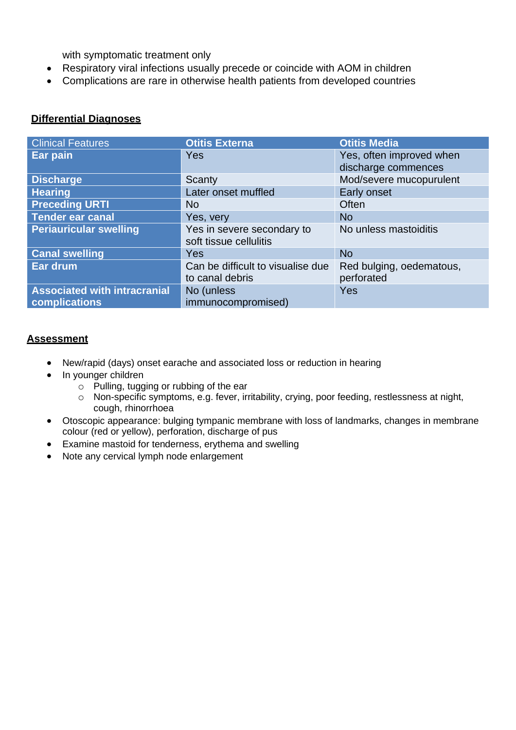with symptomatic treatment only

- Respiratory viral infections usually precede or coincide with AOM in children
- Complications are rare in otherwise health patients from developed countries

# **Differential Diagnoses**

| <b>Clinical Features</b>                             | <b>Otitis Externa</b>                                | <b>Otitis Media</b>                             |
|------------------------------------------------------|------------------------------------------------------|-------------------------------------------------|
| Ear pain                                             | Yes                                                  | Yes, often improved when<br>discharge commences |
| <b>Discharge</b>                                     | Scanty                                               | Mod/severe mucopurulent                         |
| <b>Hearing</b>                                       | Later onset muffled                                  | Early onset                                     |
| <b>Preceding URTI</b>                                | <b>No</b>                                            | Often                                           |
| <b>Tender ear canal</b>                              | Yes, very                                            | <b>No</b>                                       |
| <b>Periauricular swelling</b>                        | Yes in severe secondary to<br>soft tissue cellulitis | No unless mastoiditis                           |
| <b>Canal swelling</b>                                | Yes                                                  | <b>No</b>                                       |
| Ear drum                                             | Can be difficult to visualise due<br>to canal debris | Red bulging, oedematous,<br>perforated          |
| <b>Associated with intracranial</b><br>complications | No (unless<br>immunocompromised)                     | Yes                                             |

#### **Assessment**

- New/rapid (days) onset earache and associated loss or reduction in hearing
- In younger children
	- $\circ$  Pulling, tugging or rubbing of the ear
	- o Non-specific symptoms, e.g. fever, irritability, crying, poor feeding, restlessness at night, cough, rhinorrhoea
- Otoscopic appearance: bulging tympanic membrane with loss of landmarks, changes in membrane colour (red or yellow), perforation, discharge of pus
- Examine mastoid for tenderness, erythema and swelling
- Note any cervical lymph node enlargement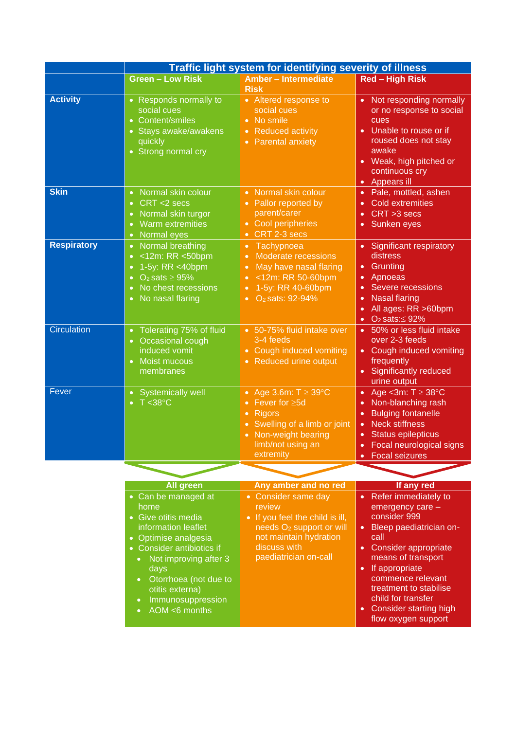|                    | Traffic light system for identifying severity of illness                                                                                                                                                                                                                                                                  |                                                                                                                                                                                                                           |                                                                                                                                                                                                                                                                                                                    |  |
|--------------------|---------------------------------------------------------------------------------------------------------------------------------------------------------------------------------------------------------------------------------------------------------------------------------------------------------------------------|---------------------------------------------------------------------------------------------------------------------------------------------------------------------------------------------------------------------------|--------------------------------------------------------------------------------------------------------------------------------------------------------------------------------------------------------------------------------------------------------------------------------------------------------------------|--|
|                    | <b>Green - Low Risk</b>                                                                                                                                                                                                                                                                                                   | Amber - Intermediate<br><b>Risk</b>                                                                                                                                                                                       | <b>Red - High Risk</b>                                                                                                                                                                                                                                                                                             |  |
| <b>Activity</b>    | • Responds normally to<br>social cues<br>• Content/smiles<br>• Stays awake/awakens<br>quickly<br>• Strong normal cry                                                                                                                                                                                                      | • Altered response to<br>social cues<br>No smile<br>$\bullet$<br><b>Reduced activity</b><br>$\bullet$<br><b>Parental anxiety</b><br>$\bullet$                                                                             | Not responding normally<br>$\bullet$<br>or no response to social<br>cues<br>Unable to rouse or if<br>$\bullet$<br>roused does not stay<br>awake<br>Weak, high pitched or<br>$\bullet$<br>continuous cry<br>Appears ill<br>$\bullet$                                                                                |  |
| <b>Skin</b>        | Normal skin colour<br>$\bullet$<br>CRT <2 secs<br>$\bullet$<br>Normal skin turgor<br>$\bullet$<br><b>Warm extremities</b><br>$\bullet$<br><b>Normal</b> eyes<br>$\bullet$                                                                                                                                                 | Normal skin colour<br>$\bullet$<br>Pallor reported by<br>parent/carer<br><b>Cool peripheries</b><br>$\bullet$<br>CRT 2-3 secs<br>$\bullet$                                                                                | Pale, mottled, ashen<br>$\bullet$<br><b>Cold extremities</b><br>$\bullet$<br>$CRT > 3$ secs<br>$\bullet$<br>Sunken eyes<br>$\bullet$                                                                                                                                                                               |  |
| <b>Respiratory</b> | Normal breathing<br>$\bullet$<br><12m: RR <50bpm<br>$\bullet$<br>1-5y: RR <40bpm<br>$\bullet$<br>$O2 sats \ge 95%$<br>$\bullet$<br>No chest recessions<br>$\bullet$<br>No nasal flaring<br>$\bullet$                                                                                                                      | Tachypnoea<br>$\bullet$<br>Moderate recessions<br>$\bullet$<br>May have nasal flaring<br>$\bullet$<br><12m: RR 50-60bpm<br>$\bullet$<br>1-5y: RR 40-60bpm<br>$\bullet$<br>O <sub>2</sub> sats: 92-94%<br>$\bullet$        | <b>Significant respiratory</b><br>$\bullet$<br>distress<br>Grunting<br>$\bullet$<br>Apnoeas<br>$\bullet$<br>Severe recessions<br>$\bullet$<br><b>Nasal flaring</b><br>$\bullet$<br>All ages: RR >60bpm<br>$\bullet$<br>O <sub>2</sub> sats: $\leq$ 92%<br>$\bullet$                                                |  |
| <b>Circulation</b> | Tolerating 75% of fluid<br>$\bullet$<br>Occasional cough<br>$\bullet$<br>induced vomit<br>Moist mucous<br>$\bullet$<br>membranes                                                                                                                                                                                          | 50-75% fluid intake over<br>$\bullet$<br>3-4 feeds<br>Cough induced vomiting<br>$\bullet$<br>Reduced urine output<br>$\bullet$                                                                                            | 50% or less fluid intake<br>$\bullet$<br>over 2-3 feeds<br>Cough induced vomiting<br>$\bullet$<br>frequently<br>Significantly reduced<br>urine output                                                                                                                                                              |  |
| Fever              | Systemically well<br>$T < 38^{\circ}$ C<br>$\bullet$                                                                                                                                                                                                                                                                      | Age 3.6m: $T \geq 39^{\circ}$ C<br>$\bullet$<br>Fever for ≥5d<br>$\bullet$<br><b>Rigors</b><br>$\bullet$<br>Swelling of a limb or joint<br>$\bullet$<br>Non-weight bearing<br>$\bullet$<br>limb/not using an<br>extremity | • Age < 3m: $T \geq 38^{\circ}$ C<br>Non-blanching rash<br>$\bullet$<br><b>Bulging fontanelle</b><br>$\bullet$<br><b>Neck stiffness</b><br>$\bullet$<br><b>Status epilepticus</b><br>$\bullet$<br>Focal neurological signs<br>$\bullet$<br>• Focal seizures                                                        |  |
|                    |                                                                                                                                                                                                                                                                                                                           |                                                                                                                                                                                                                           |                                                                                                                                                                                                                                                                                                                    |  |
|                    | <b>All green</b><br>• Can be managed at<br>home<br>• Give otitis media<br>information leaflet<br>• Optimise analgesia<br>• Consider antibiotics if<br>Not improving after 3<br>$\bullet$<br>days<br>Otorrhoea (not due to<br>$\bullet$<br>otitis externa)<br>Immunosuppression<br>$\bullet$<br>AOM <6 months<br>$\bullet$ | Any amber and no red<br>• Consider same day<br>review<br>• If you feel the child is ill,<br>needs O <sub>2</sub> support or will<br>not maintain hydration<br>discuss with<br>paediatrician on-call                       | If any red<br>• Refer immediately to<br>emergency care -<br>consider 999<br>Bleep paediatrician on-<br>call<br>• Consider appropriate<br>means of transport<br>If appropriate<br>$\bullet$<br>commence relevant<br>treatment to stabilise<br>child for transfer<br>• Consider starting high<br>flow oxygen support |  |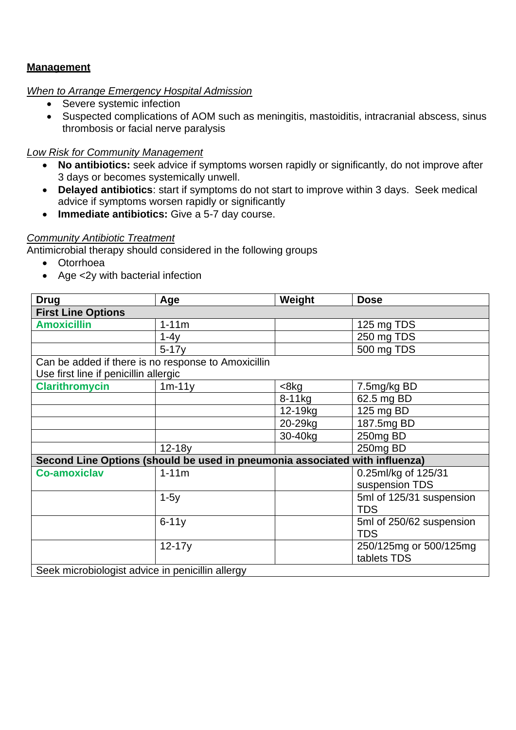# **Management**

# *When to Arrange Emergency Hospital Admission*

- Severe systemic infection
- Suspected complications of AOM such as meningitis, mastoiditis, intracranial abscess, sinus thrombosis or facial nerve paralysis

# *Low Risk for Community Management*

- **No antibiotics:** seek advice if symptoms worsen rapidly or significantly, do not improve after 3 days or becomes systemically unwell.
- **Delayed antibiotics**: start if symptoms do not start to improve within 3 days. Seek medical advice if symptoms worsen rapidly or significantly
- **Immediate antibiotics:** Give a 5-7 day course.

# *Community Antibiotic Treatment*

Antimicrobial therapy should considered in the following groups

- Otorrhoea
- Age <2y with bacterial infection

| <b>Drug</b>                                                                                  | Age                                                                         | Weight              | <b>Dose</b>                            |  |  |
|----------------------------------------------------------------------------------------------|-----------------------------------------------------------------------------|---------------------|----------------------------------------|--|--|
| <b>First Line Options</b>                                                                    |                                                                             |                     |                                        |  |  |
| <b>Amoxicillin</b>                                                                           | $1 - 11m$                                                                   |                     | 125 mg TDS                             |  |  |
|                                                                                              | $1-4y$                                                                      |                     | 250 mg TDS                             |  |  |
|                                                                                              | $5-17y$                                                                     |                     | 500 mg TDS                             |  |  |
| Can be added if there is no response to Amoxicillin<br>Use first line if penicillin allergic |                                                                             |                     |                                        |  |  |
| <b>Clarithromycin</b>                                                                        | $1m-11y$                                                                    | $8kg$               | 7.5mg/kg BD                            |  |  |
|                                                                                              |                                                                             | 8-11kg              | 62.5 mg BD                             |  |  |
|                                                                                              |                                                                             | 12-19 <sub>kg</sub> | 125 mg BD                              |  |  |
|                                                                                              |                                                                             | 20-29kg             | 187.5mg BD                             |  |  |
|                                                                                              |                                                                             | 30-40kg             | 250mg BD                               |  |  |
|                                                                                              | $12-18y$                                                                    |                     | 250mg BD                               |  |  |
|                                                                                              | Second Line Options (should be used in pneumonia associated with influenza) |                     |                                        |  |  |
| <b>Co-amoxiclav</b>                                                                          | $1 - 11m$                                                                   |                     | 0.25ml/kg of 125/31                    |  |  |
|                                                                                              |                                                                             |                     | suspension TDS                         |  |  |
|                                                                                              | $1-5y$                                                                      |                     | 5ml of 125/31 suspension<br><b>TDS</b> |  |  |
|                                                                                              | $6 - 11y$                                                                   |                     | 5ml of 250/62 suspension<br><b>TDS</b> |  |  |
|                                                                                              | $12 - 17y$                                                                  |                     | 250/125mg or 500/125mg<br>tablets TDS  |  |  |
| Seek microbiologist advice in penicillin allergy                                             |                                                                             |                     |                                        |  |  |